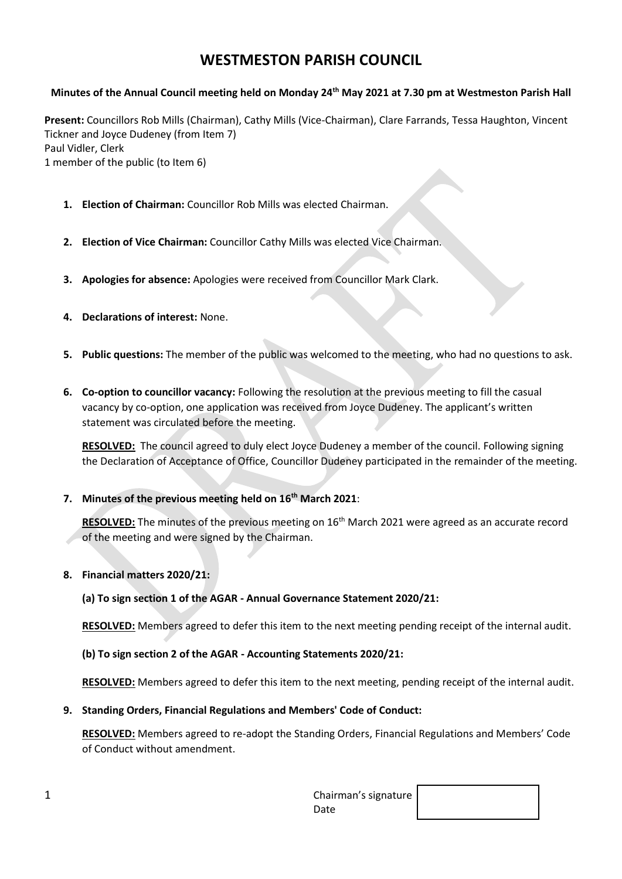# **WESTMESTON PARISH COUNCIL**

## **Minutes of the Annual Council meeting held on Monday 24th May 2021 at 7.30 pm at Westmeston Parish Hall**

**Present:** Councillors Rob Mills (Chairman), Cathy Mills (Vice-Chairman), Clare Farrands, Tessa Haughton, Vincent Tickner and Joyce Dudeney (from Item 7) Paul Vidler, Clerk 1 member of the public (to Item 6)

- **1. Election of Chairman:** Councillor Rob Mills was elected Chairman.
- **2. Election of Vice Chairman:** Councillor Cathy Mills was elected Vice Chairman.
- **3. Apologies for absence:** Apologies were received from Councillor Mark Clark.
- **4. Declarations of interest:** None.
- **5. Public questions:** The member of the public was welcomed to the meeting, who had no questions to ask.
- **6. Co-option to councillor vacancy:** Following the resolution at the previous meeting to fill the casual vacancy by co-option, one application was received from Joyce Dudeney. The applicant's written statement was circulated before the meeting.

**RESOLVED:** The council agreed to duly elect Joyce Dudeney a member of the council. Following signing the Declaration of Acceptance of Office, Councillor Dudeney participated in the remainder of the meeting.

**7. Minutes of the previous meeting held on 16th March 2021**:

RESOLVED: The minutes of the previous meeting on 16<sup>th</sup> March 2021 were agreed as an accurate record of the meeting and were signed by the Chairman.

**8. Financial matters 2020/21:**

**(a) To sign section 1 of the AGAR - Annual Governance Statement 2020/21:**

**RESOLVED:** Members agreed to defer this item to the next meeting pending receipt of the internal audit.

## **(b) To sign section 2 of the AGAR - Accounting Statements 2020/21:**

**RESOLVED:** Members agreed to defer this item to the next meeting, pending receipt of the internal audit.

#### **9. Standing Orders, Financial Regulations and Members' Code of Conduct:**

**RESOLVED:** Members agreed to re-adopt the Standing Orders, Financial Regulations and Members' Code of Conduct without amendment.

| ◢<br>∸ | Chairman's signature $\vert$ |  |
|--------|------------------------------|--|
|        | Date                         |  |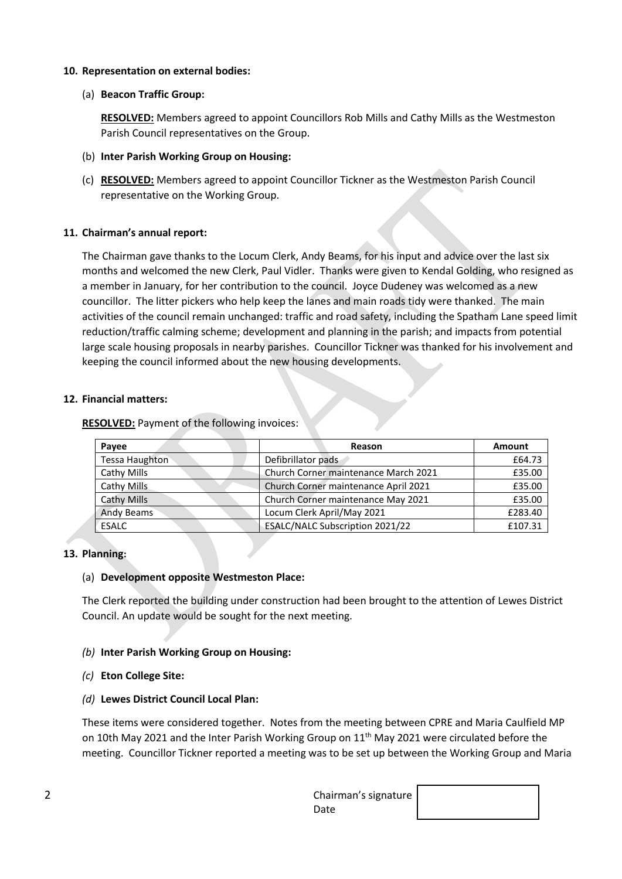## **10. Representation on external bodies:**

## (a) **Beacon Traffic Group:**

**RESOLVED:** Members agreed to appoint Councillors Rob Mills and Cathy Mills as the Westmeston Parish Council representatives on the Group.

- (b) **Inter Parish Working Group on Housing:**
- (c) **RESOLVED:** Members agreed to appoint Councillor Tickner as the Westmeston Parish Council representative on the Working Group.

## **11. Chairman's annual report:**

The Chairman gave thanks to the Locum Clerk, Andy Beams, for his input and advice over the last six months and welcomed the new Clerk, Paul Vidler. Thanks were given to Kendal Golding, who resigned as a member in January, for her contribution to the council. Joyce Dudeney was welcomed as a new councillor. The litter pickers who help keep the lanes and main roads tidy were thanked. The main activities of the council remain unchanged: traffic and road safety, including the Spatham Lane speed limit reduction/traffic calming scheme; development and planning in the parish; and impacts from potential large scale housing proposals in nearby parishes. Councillor Tickner was thanked for his involvement and keeping the council informed about the new housing developments.

## **12. Financial matters:**

## **RESOLVED:** Payment of the following invoices:

| Payee                 | Reason                               | Amount  |
|-----------------------|--------------------------------------|---------|
| <b>Tessa Haughton</b> | Defibrillator pads                   | £64.73  |
| Cathy Mills           | Church Corner maintenance March 2021 | £35.00  |
| Cathy Mills           | Church Corner maintenance April 2021 | £35.00  |
| Cathy Mills           | Church Corner maintenance May 2021   | £35.00  |
| <b>Andy Beams</b>     | Locum Clerk April/May 2021           | £283.40 |
| ESALC                 | ESALC/NALC Subscription 2021/22      | £107.31 |

#### **13. Planning:**

## (a) **Development opposite Westmeston Place:**

The Clerk reported the building under construction had been brought to the attention of Lewes District Council. An update would be sought for the next meeting.

#### *(b)* **Inter Parish Working Group on Housing:**

## *(c)* **Eton College Site:**

## *(d)* **Lewes District Council Local Plan:**

These items were considered together. Notes from the meeting between CPRE and Maria Caulfield MP on 10th May 2021 and the Inter Parish Working Group on 11<sup>th</sup> May 2021 were circulated before the meeting. Councillor Tickner reported a meeting was to be set up between the Working Group and Maria

| ∽<br>∠ | Chairman's signature $\vert$ |  |
|--------|------------------------------|--|
|        | Date                         |  |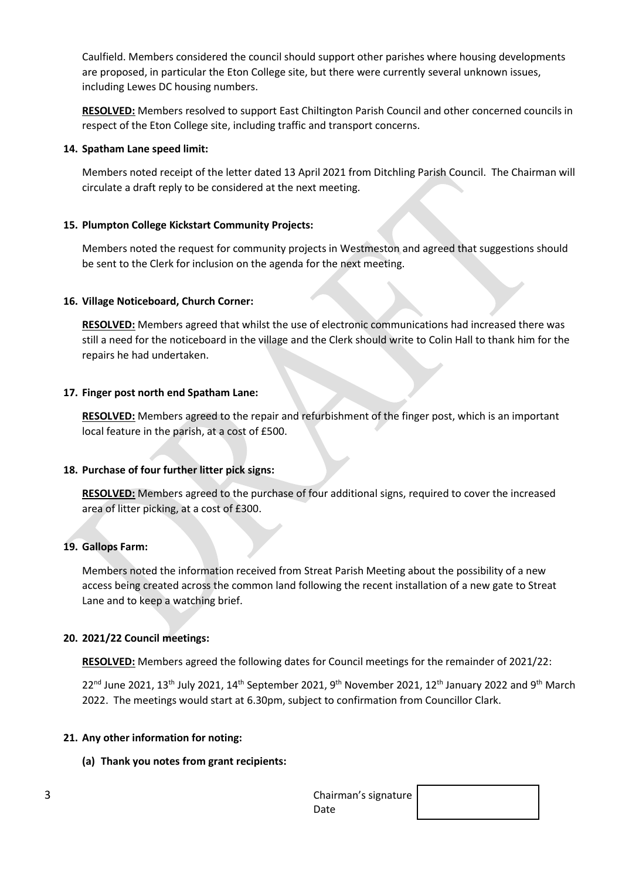Caulfield. Members considered the council should support other parishes where housing developments are proposed, in particular the Eton College site, but there were currently several unknown issues, including Lewes DC housing numbers.

**RESOLVED:** Members resolved to support East Chiltington Parish Council and other concerned councils in respect of the Eton College site, including traffic and transport concerns.

#### **14. Spatham Lane speed limit:**

Members noted receipt of the letter dated 13 April 2021 from Ditchling Parish Council. The Chairman will circulate a draft reply to be considered at the next meeting.

## **15. Plumpton College Kickstart Community Projects:**

Members noted the request for community projects in Westmeston and agreed that suggestions should be sent to the Clerk for inclusion on the agenda for the next meeting.

## **16. Village Noticeboard, Church Corner:**

**RESOLVED:** Members agreed that whilst the use of electronic communications had increased there was still a need for the noticeboard in the village and the Clerk should write to Colin Hall to thank him for the repairs he had undertaken.

## **17. Finger post north end Spatham Lane:**

**RESOLVED:** Members agreed to the repair and refurbishment of the finger post, which is an important local feature in the parish, at a cost of £500.

## **18. Purchase of four further litter pick signs:**

**RESOLVED:** Members agreed to the purchase of four additional signs, required to cover the increased area of litter picking, at a cost of £300.

## **19. Gallops Farm:**

Members noted the information received from Streat Parish Meeting about the possibility of a new access being created across the common land following the recent installation of a new gate to Streat Lane and to keep a watching brief.

#### **20. 2021/22 Council meetings:**

**RESOLVED:** Members agreed the following dates for Council meetings for the remainder of 2021/22:

 $22^{\text{nd}}$  June 2021, 13<sup>th</sup> July 2021, 14<sup>th</sup> September 2021, 9<sup>th</sup> November 2021, 12<sup>th</sup> January 2022 and 9<sup>th</sup> March 2022. The meetings would start at 6.30pm, subject to confirmation from Councillor Clark.

#### **21. Any other information for noting:**

## **(a) Thank you notes from grant recipients:**

| ∽<br>J | Chairman's signature |  |
|--------|----------------------|--|
|        | Date                 |  |